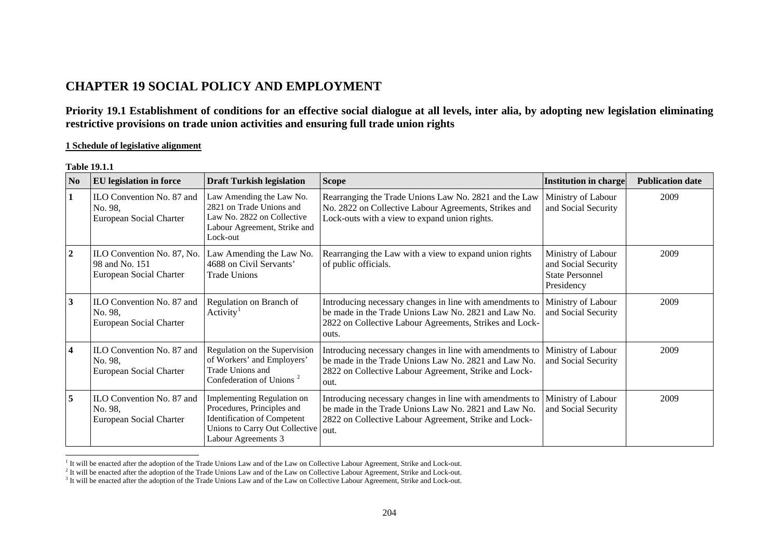# **CHAPTER 19 SOCIAL POLICY AND EMPLOYMENT**

**Priority 19.1 Establishment of conditions for an effective social dialogue at all levels, inter alia, by adopting new legislation eliminating restrictive provisions on trade union activities and ensuring full trade union rights** 

### **1 Schedule of legislative alignment**

#### **Table 19.1.1**

| N <sub>0</sub>          | EU legislation in force                                                 | <b>Draft Turkish legislation</b>                                                                                                                        | <b>Scope</b>                                                                                                                                                                         | <b>Institution in charge</b>                                                      | <b>Publication date</b> |
|-------------------------|-------------------------------------------------------------------------|---------------------------------------------------------------------------------------------------------------------------------------------------------|--------------------------------------------------------------------------------------------------------------------------------------------------------------------------------------|-----------------------------------------------------------------------------------|-------------------------|
| 1                       | ILO Convention No. 87 and<br>No. 98,<br>European Social Charter         | Law Amending the Law No.<br>2821 on Trade Unions and<br>Law No. 2822 on Collective<br>Labour Agreement, Strike and<br>Lock-out                          | Rearranging the Trade Unions Law No. 2821 and the Law<br>No. 2822 on Collective Labour Agreements, Strikes and<br>Lock-outs with a view to expand union rights.                      | Ministry of Labour<br>and Social Security                                         | 2009                    |
| $\overline{2}$          | ILO Convention No. 87, No.<br>98 and No. 151<br>European Social Charter | Law Amending the Law No.<br>4688 on Civil Servants'<br><b>Trade Unions</b>                                                                              | Rearranging the Law with a view to expand union rights<br>of public officials.                                                                                                       | Ministry of Labour<br>and Social Security<br><b>State Personnel</b><br>Presidency | 2009                    |
| 3                       | ILO Convention No. 87 and<br>No. 98,<br>European Social Charter         | Regulation on Branch of<br>Activity <sup>1</sup>                                                                                                        | Introducing necessary changes in line with amendments to<br>be made in the Trade Unions Law No. 2821 and Law No.<br>2822 on Collective Labour Agreements, Strikes and Lock-<br>outs. | Ministry of Labour<br>and Social Security                                         | 2009                    |
| $\overline{\mathbf{4}}$ | ILO Convention No. 87 and<br>No. 98,<br>European Social Charter         | Regulation on the Supervision<br>of Workers' and Employers'<br>Trade Unions and<br>Confederation of Unions <sup>2</sup>                                 | Introducing necessary changes in line with amendments to<br>be made in the Trade Unions Law No. 2821 and Law No.<br>2822 on Collective Labour Agreement, Strike and Lock-<br>out.    | Ministry of Labour<br>and Social Security                                         | 2009                    |
| 5                       | ILO Convention No. 87 and<br>No. 98,<br>European Social Charter         | Implementing Regulation on<br>Procedures, Principles and<br><b>Identification of Competent</b><br>Unions to Carry Out Collective<br>Labour Agreements 3 | Introducing necessary changes in line with amendments to<br>be made in the Trade Unions Law No. 2821 and Law No.<br>2822 on Collective Labour Agreement, Strike and Lock-<br>out.    | Ministry of Labour<br>and Social Security                                         | 2009                    |

<span id="page-0-2"></span><span id="page-0-1"></span><span id="page-0-0"></span><sup>&</sup>lt;sup>1</sup> It will be enacted after the adoption of the Trade Unions Law and of the Law on Collective Labour Agreement, Strike and Lock-out.<br><sup>2</sup> It will be enacted after the adoption of the Trade Unions Law and of the Law on Col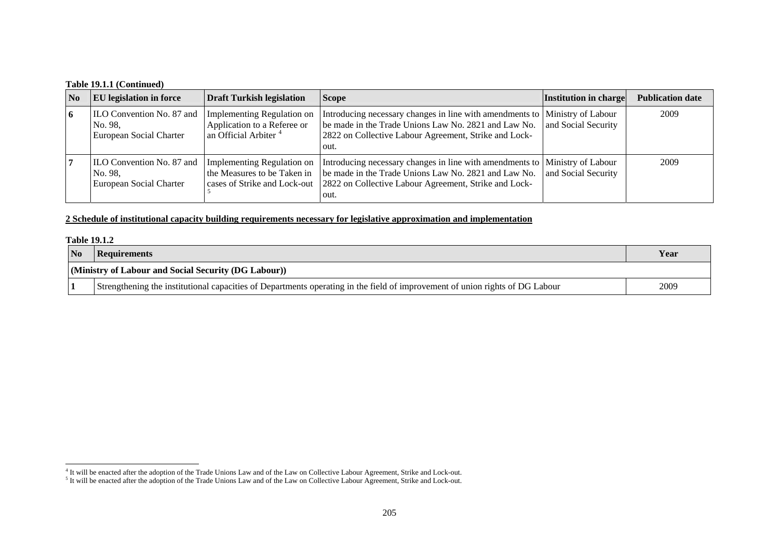### **Table 19.1.1 (Continued)**

| N <sub>0</sub> | <b>EU</b> legislation in force                                         | <b>Draft Turkish legislation</b>                                                                     | <b>Scope</b>                                                                                                                                                                                           | Institution in charge | <b>Publication date</b> |
|----------------|------------------------------------------------------------------------|------------------------------------------------------------------------------------------------------|--------------------------------------------------------------------------------------------------------------------------------------------------------------------------------------------------------|-----------------------|-------------------------|
| 6              | <b>ILO Convention No. 87 and</b><br>No. 98.<br>European Social Charter | <b>Implementing Regulation on</b><br>Application to a Referee or<br>an Official Arbiter <sup>4</sup> | Introducing necessary changes in line with amendments to   Ministry of Labour<br>be made in the Trade Unions Law No. 2821 and Law No.<br>2822 on Collective Labour Agreement, Strike and Lock-<br>out. | and Social Security   | 2009                    |
|                | <b>ILO Convention No. 87 and</b><br>No. 98,<br>European Social Charter | Implementing Regulation on<br>the Measures to be Taken in<br>cases of Strike and Lock-out            | Introducing necessary changes in line with amendments to Ministry of Labour<br>be made in the Trade Unions Law No. 2821 and Law No.<br>2822 on Collective Labour Agreement, Strike and Lock-<br>out.   | and Social Security   | 2009                    |

### **2 Schedule of institutional capacity building requirements necessary for legislative approximation and implementation**

|                | <b>Table 19.1.2</b>                                                                                                          |      |  |  |  |  |
|----------------|------------------------------------------------------------------------------------------------------------------------------|------|--|--|--|--|
| N <sub>o</sub> | Requirements                                                                                                                 | Year |  |  |  |  |
|                | (Ministry of Labour and Social Security (DG Labour))                                                                         |      |  |  |  |  |
|                | Strengthening the institutional capacities of Departments operating in the field of improvement of union rights of DG Labour | 2009 |  |  |  |  |

<span id="page-1-0"></span><sup>&</sup>lt;sup>4</sup> It will be enacted after the adoption of the Trade Unions Law and of the Law on Collective Labour Agreement, Strike and Lock-out.

 $<sup>5</sup>$  It will be enacted after the adoption of the Trade Unions Law and of the Law on Collective Labour Agreement, Strike and Lock-out.</sup>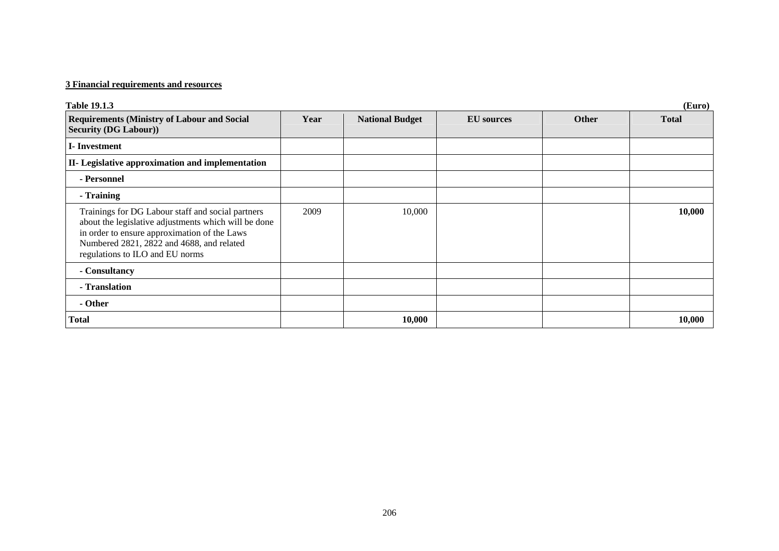# **3 Financial requirements and resources**

| <b>Table 19.1.3</b>                                                                                                                                                                                                                       |      |                        |                   |              | (Euro)       |
|-------------------------------------------------------------------------------------------------------------------------------------------------------------------------------------------------------------------------------------------|------|------------------------|-------------------|--------------|--------------|
| <b>Requirements (Ministry of Labour and Social</b><br><b>Security (DG Labour))</b>                                                                                                                                                        | Year | <b>National Budget</b> | <b>EU</b> sources | <b>Other</b> | <b>Total</b> |
| <b>I</b> -Investment                                                                                                                                                                                                                      |      |                        |                   |              |              |
| II- Legislative approximation and implementation                                                                                                                                                                                          |      |                        |                   |              |              |
| - Personnel                                                                                                                                                                                                                               |      |                        |                   |              |              |
| - Training                                                                                                                                                                                                                                |      |                        |                   |              |              |
| Trainings for DG Labour staff and social partners<br>about the legislative adjustments which will be done<br>in order to ensure approximation of the Laws<br>Numbered 2821, 2822 and 4688, and related<br>regulations to ILO and EU norms | 2009 | 10,000                 |                   |              | 10,000       |
| - Consultancy                                                                                                                                                                                                                             |      |                        |                   |              |              |
| - Translation                                                                                                                                                                                                                             |      |                        |                   |              |              |
| - Other                                                                                                                                                                                                                                   |      |                        |                   |              |              |
| Total                                                                                                                                                                                                                                     |      | 10,000                 |                   |              | 10,000       |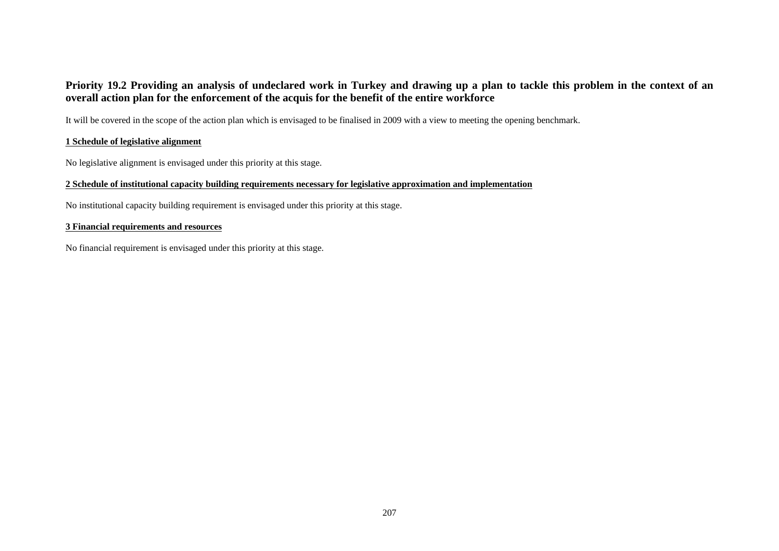## **Priority 19.2 Providing an analysis of undeclared work in Turkey and drawing up a plan to tackle this problem in the context of an overall action plan for the enforcement of the acquis for the benefit of the entire workforce**

It will be covered in the scope of the action plan which is envisaged to be finalised in 2009 with a view to meeting the opening benchmark.

### **1 Schedule of legislative alignment**

No legislative alignment is envisaged under this priority at this stage.

### **2 Schedule of institutional capacity building requirements necessary for legislative approximation and implementation**

No institutional capacity building requirement is envisaged under this priority at this stage.

### **3 Financial requirements and resources**

No financial requirement is envisaged under this priority at this stage.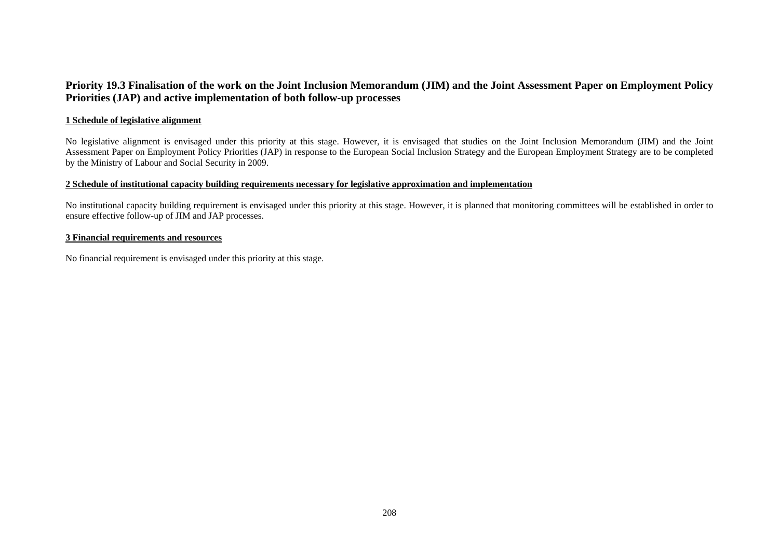### **Priority 19.3 Finalisation of the work on the Joint Inclusion Memorandum (JIM) and the Joint Assessment Paper on Employment Policy Priorities (JAP) and active implementation of both follow-up processes**

#### **1 Schedule of legislative alignment**

No legislative alignment is envisaged under this priority at this stage. However, it is envisaged that studies on the Joint Inclusion Memorandum (JIM) and the Joint Assessment Paper on Employment Policy Priorities (JAP) in response to the European Social Inclusion Strategy and the European Employment Strategy are to be completed by the Ministry of Labour and Social Security in 2009.

#### **2 Schedule of institutional capacity building requirements necessary for legislative approximation and implementation**

No institutional capacity building requirement is envisaged under this priority at this stage. However, it is planned that monitoring committees will be established in order to ensure effective follow-up of JIM and JAP processes.

### **3 Financial requirements and resources**

No financial requirement is envisaged under this priority at this stage.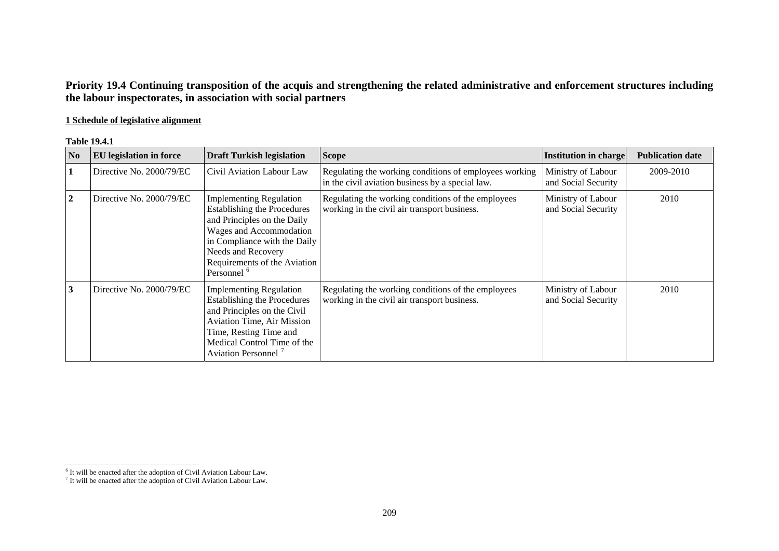# **Priority 19.4 Continuing transposition of the acquis and strengthening the related administrative and enforcement structures including the labour inspectorates, in association with social partners**

### **1 Schedule of legislative alignment**

### **Table 19.4.1**

| N <sub>0</sub> | <b>EU</b> legislation in force | <b>Draft Turkish legislation</b>                                                                                                                                                                                                               | <b>Scope</b>                                                                                               | Institution in charge                     | <b>Publication date</b> |
|----------------|--------------------------------|------------------------------------------------------------------------------------------------------------------------------------------------------------------------------------------------------------------------------------------------|------------------------------------------------------------------------------------------------------------|-------------------------------------------|-------------------------|
| $\mathbf{1}$   | Directive No. 2000/79/EC       | Civil Aviation Labour Law                                                                                                                                                                                                                      | Regulating the working conditions of employees working<br>in the civil aviation business by a special law. | Ministry of Labour<br>and Social Security | 2009-2010               |
| $\mathbf{2}$   | Directive No. 2000/79/EC       | <b>Implementing Regulation</b><br><b>Establishing the Procedures</b><br>and Principles on the Daily<br>Wages and Accommodation<br>in Compliance with the Daily<br>Needs and Recovery<br>Requirements of the Aviation<br>Personnel <sup>6</sup> | Regulating the working conditions of the employees<br>working in the civil air transport business.         | Ministry of Labour<br>and Social Security | 2010                    |
| 3              | Directive No. 2000/79/EC       | <b>Implementing Regulation</b><br><b>Establishing the Procedures</b><br>and Principles on the Civil<br><b>Aviation Time, Air Mission</b><br>Time, Resting Time and<br>Medical Control Time of the<br>Aviation Personnel <sup>7</sup>           | Regulating the working conditions of the employees<br>working in the civil air transport business.         | Ministry of Labour<br>and Social Security | 2010                    |

<span id="page-5-1"></span><span id="page-5-0"></span> $6$  It will be enacted after the adoption of Civil Aviation Labour Law.

 $7$  It will be enacted after the adoption of Civil Aviation Labour Law.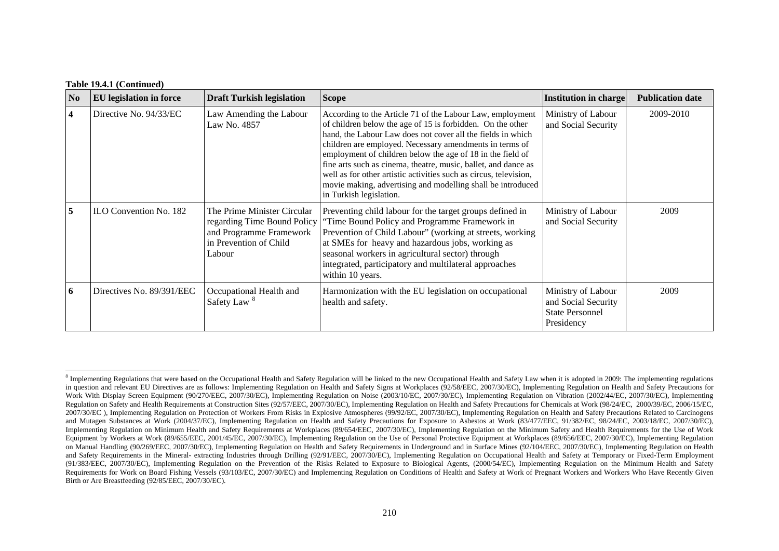#### **Table 19.4.1 (Continued)**

| No | <b>EU</b> legislation in force | <b>Draft Turkish legislation</b>                                                                                          | <b>Scope</b>                                                                                                                                                                                                                                                                                                                                                                                                                                                                                                                                     | Institution in charge                                                             | <b>Publication date</b> |
|----|--------------------------------|---------------------------------------------------------------------------------------------------------------------------|--------------------------------------------------------------------------------------------------------------------------------------------------------------------------------------------------------------------------------------------------------------------------------------------------------------------------------------------------------------------------------------------------------------------------------------------------------------------------------------------------------------------------------------------------|-----------------------------------------------------------------------------------|-------------------------|
| 4  | Directive No. 94/33/EC         | Law Amending the Labour<br>Law No. 4857                                                                                   | According to the Article 71 of the Labour Law, employment<br>of children below the age of 15 is forbidden. On the other<br>hand, the Labour Law does not cover all the fields in which<br>children are employed. Necessary amendments in terms of<br>employment of children below the age of 18 in the field of<br>fine arts such as cinema, theatre, music, ballet, and dance as<br>well as for other artistic activities such as circus, television,<br>movie making, advertising and modelling shall be introduced<br>in Turkish legislation. | Ministry of Labour<br>and Social Security                                         | 2009-2010               |
| 5  | ILO Convention No. 182         | The Prime Minister Circular<br>regarding Time Bound Policy<br>and Programme Framework<br>in Prevention of Child<br>Labour | Preventing child labour for the target groups defined in<br>Time Bound Policy and Programme Framework in<br>Prevention of Child Labour" (working at streets, working<br>at SMEs for heavy and hazardous jobs, working as<br>seasonal workers in agricultural sector) through<br>integrated, participatory and multilateral approaches<br>within 10 years.                                                                                                                                                                                        | Ministry of Labour<br>and Social Security                                         | 2009                    |
| 6  | Directives No. 89/391/EEC      | Occupational Health and<br>Safety Law <sup>8</sup>                                                                        | Harmonization with the EU legislation on occupational<br>health and safety.                                                                                                                                                                                                                                                                                                                                                                                                                                                                      | Ministry of Labour<br>and Social Security<br><b>State Personnel</b><br>Presidency | 2009                    |

<span id="page-6-0"></span><sup>&</sup>lt;sup>8</sup> Implementing Regulations that were based on the Occupational Health and Safety Regulation will be linked to the new Occupational Health and Safety Law when it is adopted in 2009: The implementing regulations in question and relevant EU Directives are as follows: Implementing Regulation on Health and Safety Signs at Workplaces (92/58/EEC, 2007/30/EC), Implementing Regulation on Health and Safety Precautions for Work With Display Screen Equipment (90/270/EEC, 2007/30/EC), Implementing Regulation on Noise (2003/10/EC, 2007/30/EC), Implementing Regulation on Vibration (2002/44/EC, 2007/30/EC), Implementing Regulation on Safety and Health Requirements at Construction Sites (92/57/EEC, 2007/30/EC), Implementing Regulation on Health and Safety Precautions for Chemicals at Work (98/24/EC, 2000/39/EC, 2006/15/EC, 2007/30/EC ), Implementing Regulation on Protection of Workers From Risks in Explosive Atmospheres (99/92/EC, 2007/30/EC), Implementing Regulation on Health and Safety Precautions Related to Carcinogens and Mutagen Substances at Work (2004/37/EC), Implementing Regulation on Health and Safety Precautions for Exposure to Asbestos at Work (83/477/EEC, 91/382/EC, 98/24/EC, 2003/18/EC, 2007/30/EC), Implementing Regulation on Minimum Health and Safety Requirements at Workplaces (89/654/EEC, 2007/30/EC), Implementing Regulation on the Minimum Safety and Health Requirements for the Use of Work Equipment by Workers at Work (89/655/EEC, 2001/45/EC, 2007/30/EC), Implementing Regulation on the Use of Personal Protective Equipment at Workplaces (89/656/EEC, 2007/30/EC), Implementing Regulation on Manual Handling (90/269/EEC, 2007/30/EC), Implementing Regulation on Health and Safety Requirements in Underground and in Surface Mines (92/104/EEC, 2007/30/EC), Implementing Regulation on Health and Safety Requirements in the Mineral- extracting Industries through Drilling (92/91/EEC, 2007/30/EC), Implementing Regulation on Occupational Health and Safety at Temporary or Fixed-Term Employment (91/383/EEC, 2007/30/EC), Implementing Regulation on the Prevention of the Risks Related to Exposure to Biological Agents, (2000/54/EC), Implementing Regulation on the Minimum Health and Safety Requirements for Work on Board Fishing Vessels (93/103/EC, 2007/30/EC) and Implementing Regulation on Conditions of Health and Safety at Work of Pregnant Workers and Workers Who Have Recently Given Birth or Are Breastfeeding (92/85/EEC, 2007/30/EC).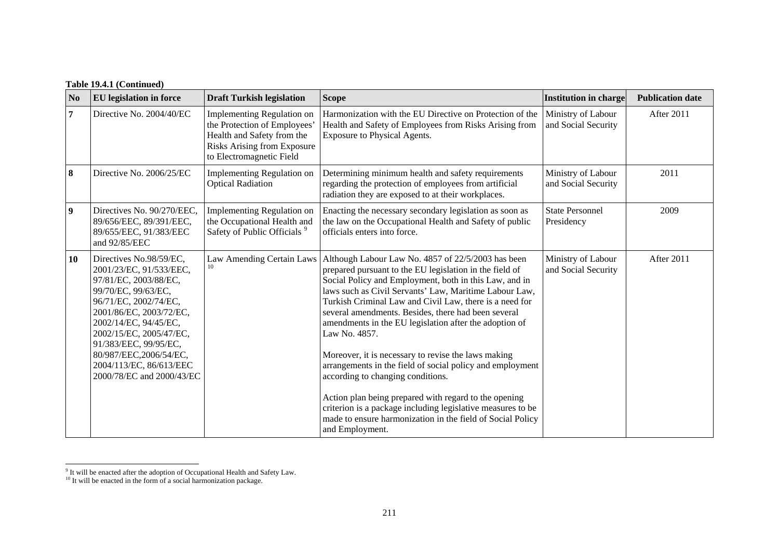| N <sub>0</sub>          | <b>EU</b> legislation in force                                                                                                                                                                                                                                                                                        | <b>Draft Turkish legislation</b>                                                                                                                                  | <b>Scope</b>                                                                                                                                                                                                                                                                                                                                                                                                                                                                                                                                                                                                                                                                                                                                                                                                                 | <b>Institution in charge</b>              | <b>Publication date</b> |
|-------------------------|-----------------------------------------------------------------------------------------------------------------------------------------------------------------------------------------------------------------------------------------------------------------------------------------------------------------------|-------------------------------------------------------------------------------------------------------------------------------------------------------------------|------------------------------------------------------------------------------------------------------------------------------------------------------------------------------------------------------------------------------------------------------------------------------------------------------------------------------------------------------------------------------------------------------------------------------------------------------------------------------------------------------------------------------------------------------------------------------------------------------------------------------------------------------------------------------------------------------------------------------------------------------------------------------------------------------------------------------|-------------------------------------------|-------------------------|
| $\overline{7}$          | Directive No. 2004/40/EC                                                                                                                                                                                                                                                                                              | <b>Implementing Regulation on</b><br>the Protection of Employees'<br>Health and Safety from the<br><b>Risks Arising from Exposure</b><br>to Electromagnetic Field | Harmonization with the EU Directive on Protection of the<br>Health and Safety of Employees from Risks Arising from<br>Exposure to Physical Agents.                                                                                                                                                                                                                                                                                                                                                                                                                                                                                                                                                                                                                                                                           | Ministry of Labour<br>and Social Security | After 2011              |
| 8                       | Directive No. 2006/25/EC                                                                                                                                                                                                                                                                                              | Implementing Regulation on<br><b>Optical Radiation</b>                                                                                                            | Determining minimum health and safety requirements<br>regarding the protection of employees from artificial<br>radiation they are exposed to at their workplaces.                                                                                                                                                                                                                                                                                                                                                                                                                                                                                                                                                                                                                                                            | Ministry of Labour<br>and Social Security | 2011                    |
| $\overline{\mathbf{9}}$ | Directives No. 90/270/EEC,<br>89/656/EEC, 89/391/EEC,<br>89/655/EEC, 91/383/EEC<br>and 92/85/EEC                                                                                                                                                                                                                      | Implementing Regulation on<br>the Occupational Health and<br>Safety of Public Officials <sup>9</sup>                                                              | Enacting the necessary secondary legislation as soon as<br>the law on the Occupational Health and Safety of public<br>officials enters into force.                                                                                                                                                                                                                                                                                                                                                                                                                                                                                                                                                                                                                                                                           | <b>State Personnel</b><br>Presidency      | 2009                    |
| 10                      | Directives No.98/59/EC,<br>2001/23/EC, 91/533/EEC,<br>97/81/EC, 2003/88/EC,<br>99/70/EC, 99/63/EC,<br>96/71/EC, 2002/74/EC,<br>2001/86/EC, 2003/72/EC,<br>2002/14/EC, 94/45/EC,<br>2002/15/EC, 2005/47/EC,<br>91/383/EEC, 99/95/EC,<br>80/987/EEC,2006/54/EC,<br>2004/113/EC, 86/613/EEC<br>2000/78/EC and 2000/43/EC |                                                                                                                                                                   | Law Amending Certain Laws   Although Labour Law No. 4857 of 22/5/2003 has been<br>prepared pursuant to the EU legislation in the field of<br>Social Policy and Employment, both in this Law, and in<br>laws such as Civil Servants' Law, Maritime Labour Law,<br>Turkish Criminal Law and Civil Law, there is a need for<br>several amendments. Besides, there had been several<br>amendments in the EU legislation after the adoption of<br>Law No. 4857.<br>Moreover, it is necessary to revise the laws making<br>arrangements in the field of social policy and employment<br>according to changing conditions.<br>Action plan being prepared with regard to the opening<br>criterion is a package including legislative measures to be<br>made to ensure harmonization in the field of Social Policy<br>and Employment. | Ministry of Labour<br>and Social Security | After 2011              |

<span id="page-7-1"></span><span id="page-7-0"></span><sup>&</sup>lt;sup>9</sup> It will be enacted after the adoption of Occupational Health and Safety Law.

 $10$  It will be enacted in the form of a social harmonization package.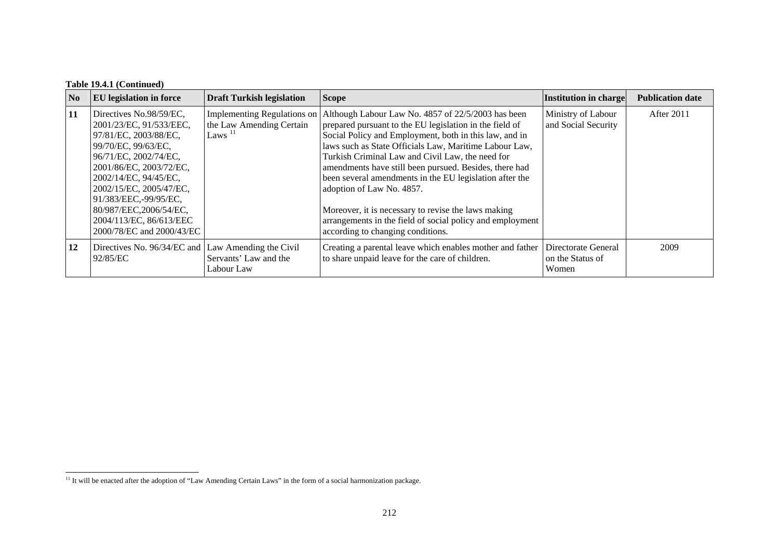### **Table 19.4.1 (Continued)**

| No | <b>EU</b> legislation in force                                                                                                                                                                                                                                                                                        | <b>Draft Turkish legislation</b>                                     | <b>Scope</b>                                                                                                                                                                                                                                                                                                                                                                                                                                                                                                                                                                                     | Institution in charge                            | <b>Publication date</b> |
|----|-----------------------------------------------------------------------------------------------------------------------------------------------------------------------------------------------------------------------------------------------------------------------------------------------------------------------|----------------------------------------------------------------------|--------------------------------------------------------------------------------------------------------------------------------------------------------------------------------------------------------------------------------------------------------------------------------------------------------------------------------------------------------------------------------------------------------------------------------------------------------------------------------------------------------------------------------------------------------------------------------------------------|--------------------------------------------------|-------------------------|
| 11 | Directives No.98/59/EC,<br>2001/23/EC, 91/533/EEC,<br>97/81/EC, 2003/88/EC,<br>99/70/EC, 99/63/EC,<br>96/71/EC, 2002/74/EC,<br>2001/86/EC, 2003/72/EC,<br>2002/14/EC, 94/45/EC,<br>2002/15/EC, 2005/47/EC,<br>91/383/EEC,-99/95/EC,<br>80/987/EEC,2006/54/EC,<br>2004/113/EC, 86/613/EEC<br>2000/78/EC and 2000/43/EC | Implementing Regulations on<br>the Law Amending Certain<br>Laws $11$ | Although Labour Law No. 4857 of 22/5/2003 has been<br>prepared pursuant to the EU legislation in the field of<br>Social Policy and Employment, both in this law, and in<br>laws such as State Officials Law, Maritime Labour Law,<br>Turkish Criminal Law and Civil Law, the need for<br>amendments have still been pursued. Besides, there had<br>been several amendments in the EU legislation after the<br>adoption of Law No. 4857.<br>Moreover, it is necessary to revise the laws making<br>arrangements in the field of social policy and employment<br>according to changing conditions. | Ministry of Labour<br>and Social Security        | After 2011              |
| 12 | Directives No. 96/34/EC and Law Amending the Civil<br>92/85/EC                                                                                                                                                                                                                                                        | Servants' Law and the<br>Labour Law                                  | Creating a parental leave which enables mother and father<br>to share unpaid leave for the care of children.                                                                                                                                                                                                                                                                                                                                                                                                                                                                                     | Directorate General<br>on the Status of<br>Women | 2009                    |

<span id="page-8-0"></span><sup>&</sup>lt;sup>11</sup> It will be enacted after the adoption of "Law Amending Certain Laws" in the form of a social harmonization package.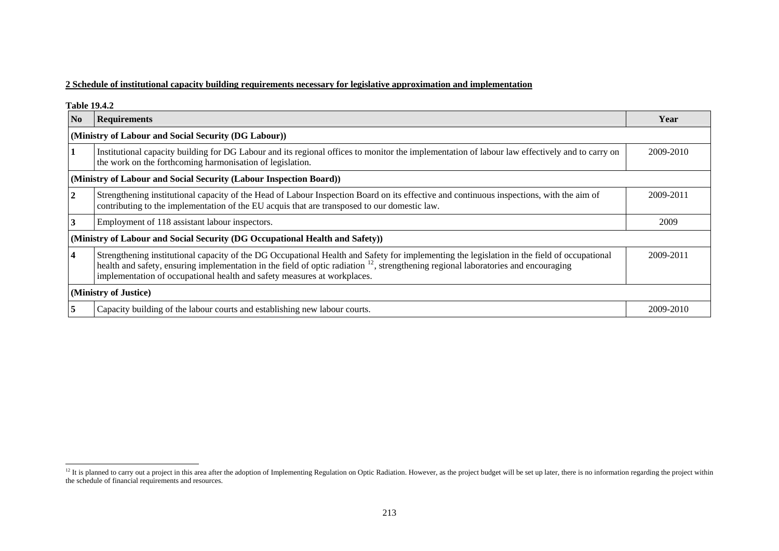### **2 Schedule of institutional capacity building requirements necessary for legislative approximation and implementation**

| <b>Table 19.4.2</b> |                                                                                                                                                                                                                                                                                                                                                                           |           |
|---------------------|---------------------------------------------------------------------------------------------------------------------------------------------------------------------------------------------------------------------------------------------------------------------------------------------------------------------------------------------------------------------------|-----------|
| N <sub>o</sub>      | <b>Requirements</b>                                                                                                                                                                                                                                                                                                                                                       | Year      |
|                     | (Ministry of Labour and Social Security (DG Labour))                                                                                                                                                                                                                                                                                                                      |           |
| 1                   | Institutional capacity building for DG Labour and its regional offices to monitor the implementation of labour law effectively and to carry on<br>the work on the forthcoming harmonisation of legislation.                                                                                                                                                               | 2009-2010 |
|                     | (Ministry of Labour and Social Security (Labour Inspection Board))                                                                                                                                                                                                                                                                                                        |           |
| $\overline{2}$      | Strengthening institutional capacity of the Head of Labour Inspection Board on its effective and continuous inspections, with the aim of<br>contributing to the implementation of the EU acquis that are transposed to our domestic law.                                                                                                                                  | 2009-2011 |
| $\overline{3}$      | Employment of 118 assistant labour inspectors.                                                                                                                                                                                                                                                                                                                            | 2009      |
|                     | (Ministry of Labour and Social Security (DG Occupational Health and Safety))                                                                                                                                                                                                                                                                                              |           |
| $\overline{4}$      | Strengthening institutional capacity of the DG Occupational Health and Safety for implementing the legislation in the field of occupational<br>health and safety, ensuring implementation in the field of optic radiation <sup>12</sup> , strengthening regional laboratories and encouraging<br>implementation of occupational health and safety measures at workplaces. | 2009-2011 |
|                     | (Ministry of Justice)                                                                                                                                                                                                                                                                                                                                                     |           |
| 15                  | Capacity building of the labour courts and establishing new labour courts.                                                                                                                                                                                                                                                                                                | 2009-2010 |

<span id="page-9-0"></span> $12$  It is planned to carry out a project in this area after the adoption of Implementing Regulation on Optic Radiation. However, as the project budget will be set up later, there is no information regarding the project w the schedule of financial requirements and resources.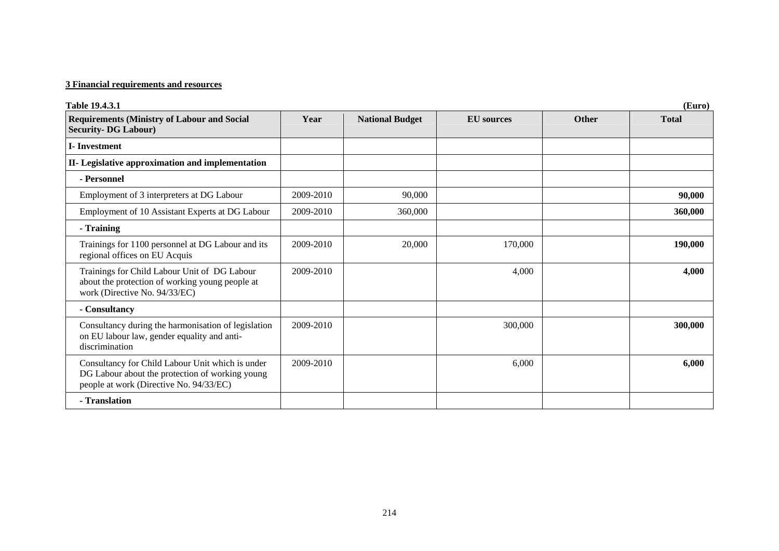# **3 Financial requirements and resources**

| <b>Table 19.4.3.1</b>                                                                                                                          |           |                        |                   |              | (Euro)       |
|------------------------------------------------------------------------------------------------------------------------------------------------|-----------|------------------------|-------------------|--------------|--------------|
| <b>Requirements (Ministry of Labour and Social</b><br><b>Security-DG Labour)</b>                                                               | Year      | <b>National Budget</b> | <b>EU</b> sources | <b>Other</b> | <b>Total</b> |
| <b>I</b> -Investment                                                                                                                           |           |                        |                   |              |              |
| II- Legislative approximation and implementation                                                                                               |           |                        |                   |              |              |
| - Personnel                                                                                                                                    |           |                        |                   |              |              |
| Employment of 3 interpreters at DG Labour                                                                                                      | 2009-2010 | 90,000                 |                   |              | 90,000       |
| Employment of 10 Assistant Experts at DG Labour                                                                                                | 2009-2010 | 360,000                |                   |              | 360,000      |
| - Training                                                                                                                                     |           |                        |                   |              |              |
| Trainings for 1100 personnel at DG Labour and its<br>regional offices on EU Acquis                                                             | 2009-2010 | 20,000                 | 170,000           |              | 190,000      |
| Trainings for Child Labour Unit of DG Labour<br>about the protection of working young people at<br>work (Directive No. 94/33/EC)               | 2009-2010 |                        | 4,000             |              | 4,000        |
| - Consultancy                                                                                                                                  |           |                        |                   |              |              |
| Consultancy during the harmonisation of legislation<br>on EU labour law, gender equality and anti-<br>discrimination                           | 2009-2010 |                        | 300,000           |              | 300,000      |
| Consultancy for Child Labour Unit which is under<br>DG Labour about the protection of working young<br>people at work (Directive No. 94/33/EC) | 2009-2010 |                        | 6,000             |              | 6,000        |
| - Translation                                                                                                                                  |           |                        |                   |              |              |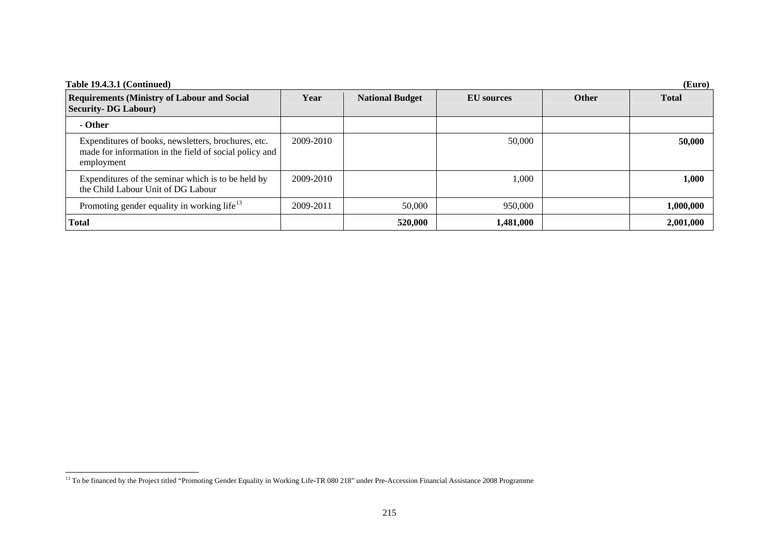| Table 19.4.3.1 (Continued)<br>(Euro)                                                                                        |           |                        |                   |              |              |
|-----------------------------------------------------------------------------------------------------------------------------|-----------|------------------------|-------------------|--------------|--------------|
| <b>Requirements (Ministry of Labour and Social</b><br><b>Security-DG Labour)</b>                                            | Year      | <b>National Budget</b> | <b>EU</b> sources | <b>Other</b> | <b>Total</b> |
| - Other                                                                                                                     |           |                        |                   |              |              |
| Expenditures of books, newsletters, brochures, etc.<br>made for information in the field of social policy and<br>employment | 2009-2010 |                        | 50,000            |              | 50,000       |
| Expenditures of the seminar which is to be held by<br>the Child Labour Unit of DG Labour                                    | 2009-2010 |                        | 1,000             |              | 1,000        |
| Promoting gender equality in working life <sup>13</sup>                                                                     | 2009-2011 | 50,000                 | 950,000           |              | 1,000,000    |
| <b>Total</b>                                                                                                                |           | 520,000                | 1,481,000         |              | 2,001,000    |

<span id="page-11-0"></span><sup>&</sup>lt;sup>13</sup> To be financed by the Project titled "Promoting Gender Equality in Working Life-TR 080 218" under Pre-Accession Financial Assistance 2008 Programme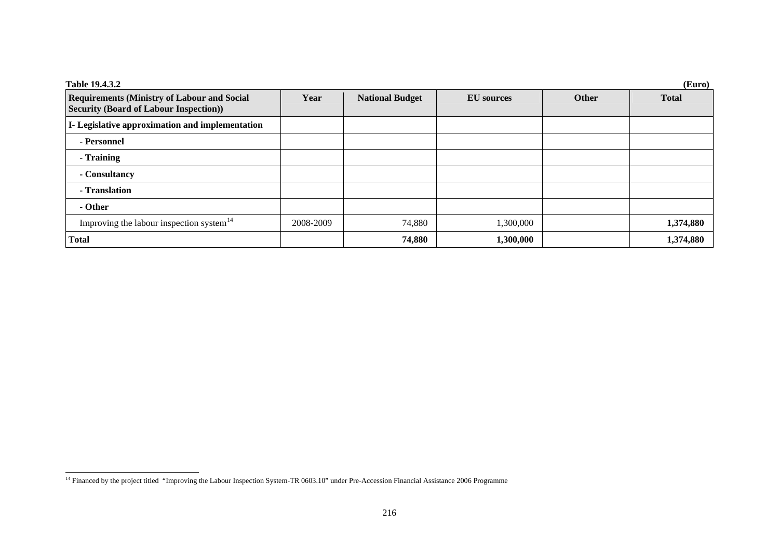| Table 19.4.3.2                                                                                      |           |                        |                   |              | (Euro)       |
|-----------------------------------------------------------------------------------------------------|-----------|------------------------|-------------------|--------------|--------------|
| <b>Requirements (Ministry of Labour and Social</b><br><b>Security (Board of Labour Inspection))</b> | Year      | <b>National Budget</b> | <b>EU</b> sources | <b>Other</b> | <b>Total</b> |
| I- Legislative approximation and implementation                                                     |           |                        |                   |              |              |
| - Personnel                                                                                         |           |                        |                   |              |              |
| - Training                                                                                          |           |                        |                   |              |              |
| - Consultancy                                                                                       |           |                        |                   |              |              |
| - Translation                                                                                       |           |                        |                   |              |              |
| - Other                                                                                             |           |                        |                   |              |              |
| Improving the labour inspection system <sup>14</sup>                                                | 2008-2009 | 74,880                 | 1,300,000         |              | 1,374,880    |
| <b>Total</b>                                                                                        |           | 74,880                 | 1,300,000         |              | 1,374,880    |

<span id="page-12-0"></span><sup>&</sup>lt;sup>14</sup> Financed by the project titled "Improving the Labour Inspection System-TR 0603.10" under Pre-Accession Financial Assistance 2006 Programme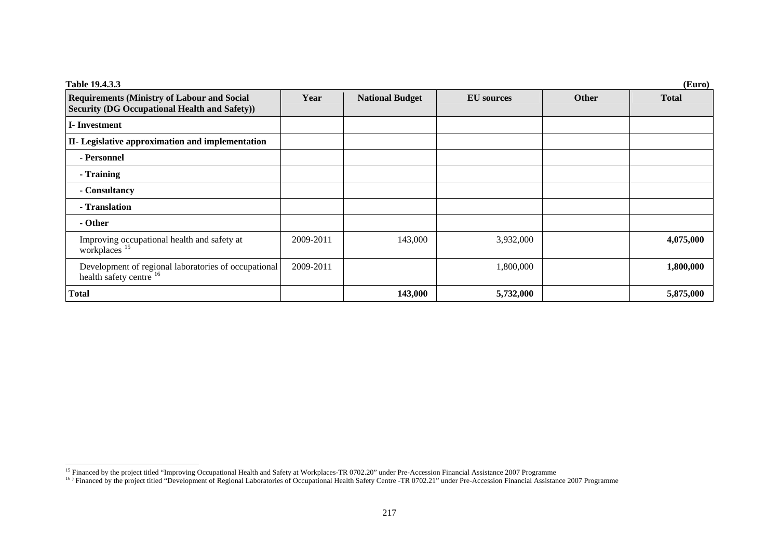| Table 19.4.3.3<br>(Euro)                                                                                   |           |                        |                   |              |              |
|------------------------------------------------------------------------------------------------------------|-----------|------------------------|-------------------|--------------|--------------|
| <b>Requirements (Ministry of Labour and Social</b><br><b>Security (DG Occupational Health and Safety))</b> | Year      | <b>National Budget</b> | <b>EU</b> sources | <b>Other</b> | <b>Total</b> |
| <b>I</b> -Investment                                                                                       |           |                        |                   |              |              |
| II- Legislative approximation and implementation                                                           |           |                        |                   |              |              |
| - Personnel                                                                                                |           |                        |                   |              |              |
| - Training                                                                                                 |           |                        |                   |              |              |
| - Consultancy                                                                                              |           |                        |                   |              |              |
| - Translation                                                                                              |           |                        |                   |              |              |
| - Other                                                                                                    |           |                        |                   |              |              |
| Improving occupational health and safety at workplaces <sup>15</sup>                                       | 2009-2011 | 143,000                | 3,932,000         |              | 4,075,000    |
| Development of regional laboratories of occupational<br>health safety centre <sup>16</sup>                 | 2009-2011 |                        | 1,800,000         |              | 1,800,000    |
| <b>Total</b>                                                                                               |           | 143,000                | 5,732,000         |              | 5,875,000    |

<span id="page-13-1"></span><span id="page-13-0"></span><sup>&</sup>lt;sup>15</sup> Financed by the project titled "Improving Occupational Health and Safety at Workplaces-TR 0702.20" under Pre-Accession Financial Assistance 2007 Programme<br><sup>16</sup> > Financed by the project titled "Development of Regional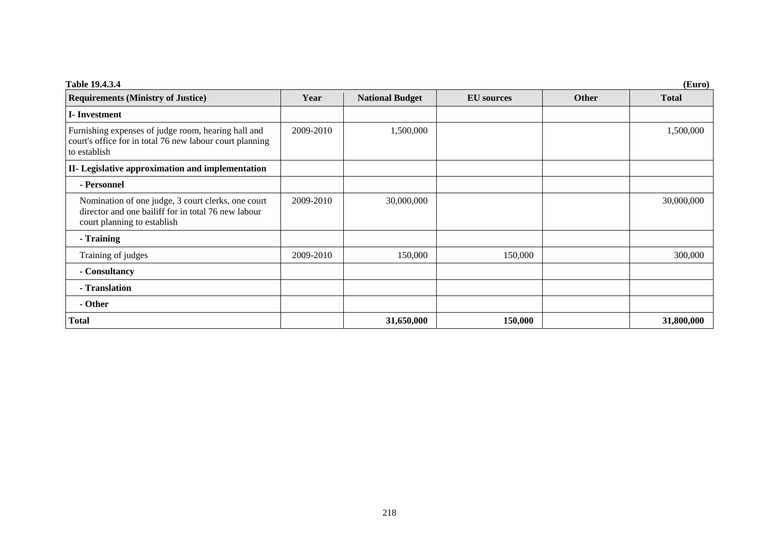| Table 19.4.3.4<br>(Euro)                                                                                                                 |           |                        |                   |              |              |
|------------------------------------------------------------------------------------------------------------------------------------------|-----------|------------------------|-------------------|--------------|--------------|
| <b>Requirements (Ministry of Justice)</b>                                                                                                | Year      | <b>National Budget</b> | <b>EU</b> sources | <b>Other</b> | <b>Total</b> |
| <b>I</b> -Investment                                                                                                                     |           |                        |                   |              |              |
| Furnishing expenses of judge room, hearing hall and<br>court's office for in total 76 new labour court planning<br>to establish          | 2009-2010 | 1,500,000              |                   |              | 1,500,000    |
| II- Legislative approximation and implementation                                                                                         |           |                        |                   |              |              |
| - Personnel                                                                                                                              |           |                        |                   |              |              |
| Nomination of one judge, 3 court clerks, one court<br>director and one bailiff for in total 76 new labour<br>court planning to establish | 2009-2010 | 30,000,000             |                   |              | 30,000,000   |
| - Training                                                                                                                               |           |                        |                   |              |              |
| Training of judges                                                                                                                       | 2009-2010 | 150,000                | 150,000           |              | 300,000      |
| - Consultancy                                                                                                                            |           |                        |                   |              |              |
| - Translation                                                                                                                            |           |                        |                   |              |              |
| - Other                                                                                                                                  |           |                        |                   |              |              |
| <b>Total</b>                                                                                                                             |           | 31,650,000             | 150,000           |              | 31,800,000   |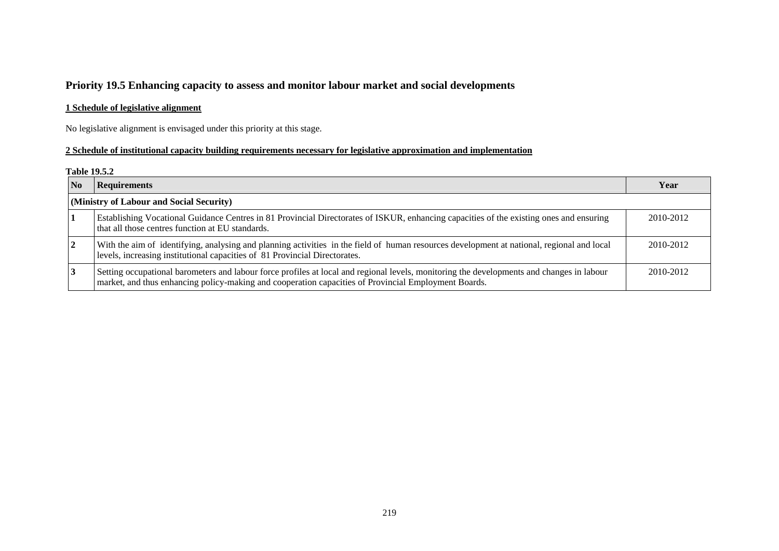# **Priority 19.5 Enhancing capacity to assess and monitor labour market and social developments**

### **1 Schedule of legislative alignment**

No legislative alignment is envisaged under this priority at this stage.

### **2 Schedule of institutional capacity building requirements necessary for legislative approximation and implementation**

#### **Table 19.5.2**

| N <sub>0</sub> | <b>Requirements</b>                                                                                                                                                                                                                               | Year      |  |  |  |  |
|----------------|---------------------------------------------------------------------------------------------------------------------------------------------------------------------------------------------------------------------------------------------------|-----------|--|--|--|--|
|                | (Ministry of Labour and Social Security)                                                                                                                                                                                                          |           |  |  |  |  |
|                | Establishing Vocational Guidance Centres in 81 Provincial Directorates of ISKUR, enhancing capacities of the existing ones and ensuring<br>that all those centres function at EU standards.                                                       | 2010-2012 |  |  |  |  |
|                | With the aim of identifying, analysing and planning activities in the field of human resources development at national, regional and local<br>levels, increasing institutional capacities of 81 Provincial Directorates.                          | 2010-2012 |  |  |  |  |
|                | Setting occupational barometers and labour force profiles at local and regional levels, monitoring the developments and changes in labour<br>market, and thus enhancing policy-making and cooperation capacities of Provincial Employment Boards. | 2010-2012 |  |  |  |  |